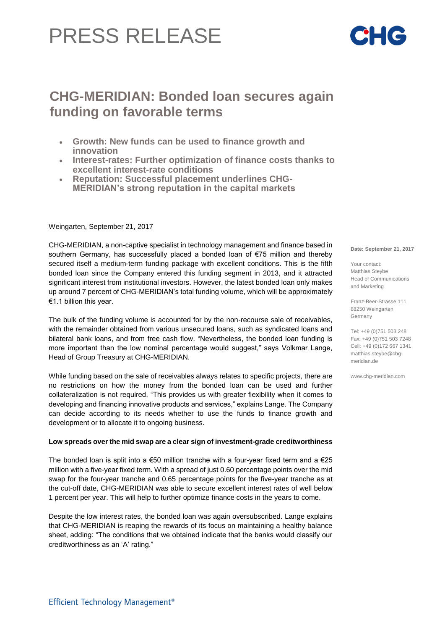# PRESS RELEASE

## **CHG-MERIDIAN: Bonded loan secures again funding on favorable terms**

- **Growth: New funds can be used to finance growth and innovation**
- **Interest-rates: Further optimization of finance costs thanks to excellent interest-rate conditions**
- **Reputation: Successful placement underlines CHG-MERIDIAN's strong reputation in the capital markets**

### Weingarten, September 21, 2017

CHG-MERIDIAN, a non-captive specialist in technology management and finance based in southern Germany, has successfully placed a bonded loan of €75 million and thereby secured itself a medium-term funding package with excellent conditions. This is the fifth bonded loan since the Company entered this funding segment in 2013, and it attracted significant interest from institutional investors. However, the latest bonded loan only makes up around 7 percent of CHG-MERIDIAN's total funding volume, which will be approximately €1.1 billion this year.

The bulk of the funding volume is accounted for by the non-recourse sale of receivables, with the remainder obtained from various unsecured loans, such as syndicated loans and bilateral bank loans, and from free cash flow. "Nevertheless, the bonded loan funding is more important than the low nominal percentage would suggest," says Volkmar Lange, Head of Group Treasury at CHG-MERIDIAN.

While funding based on the sale of receivables always relates to specific projects, there are no restrictions on how the money from the bonded loan can be used and further collateralization is not required. "This provides us with greater flexibility when it comes to developing and financing innovative products and services," explains Lange. The Company can decide according to its needs whether to use the funds to finance growth and development or to allocate it to ongoing business.

#### **Low spreads over the mid swap are a clear sign of investment-grade creditworthiness**

The bonded loan is split into a  $\epsilon$ 50 million tranche with a four-year fixed term and a  $\epsilon$ 25 million with a five-year fixed term. With a spread of just 0.60 percentage points over the mid swap for the four-year tranche and 0.65 percentage points for the five-year tranche as at the cut-off date, CHG-MERIDIAN was able to secure excellent interest rates of well below 1 percent per year. This will help to further optimize finance costs in the years to come.

Despite the low interest rates, the bonded loan was again oversubscribed. Lange explains that CHG-MERIDIAN is reaping the rewards of its focus on maintaining a healthy balance sheet, adding: "The conditions that we obtained indicate that the banks would classify our creditworthiness as an 'A' rating."

**Date: September 21, 2017**

Your contact: Matthias Steybe Head of Communications and Marketing

Franz-Beer-Strasse 111 88250 Weingarten Germany

Tel: +49 (0)751 503 248 Fax: +49 (0)751 503 7248 Cell: +49 (0)172 667 1341 [matthias.steybe@chg](mailto:matthias.steybe@chg-)meridian.de

www.chg-meridian.com